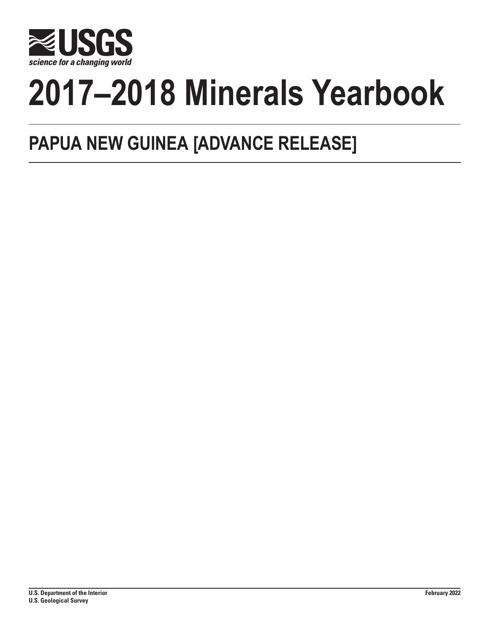

# **2017–2018 Minerals Yearbook**

## **PAPUA NEW GUINEA [ADVANCE RELEASE]**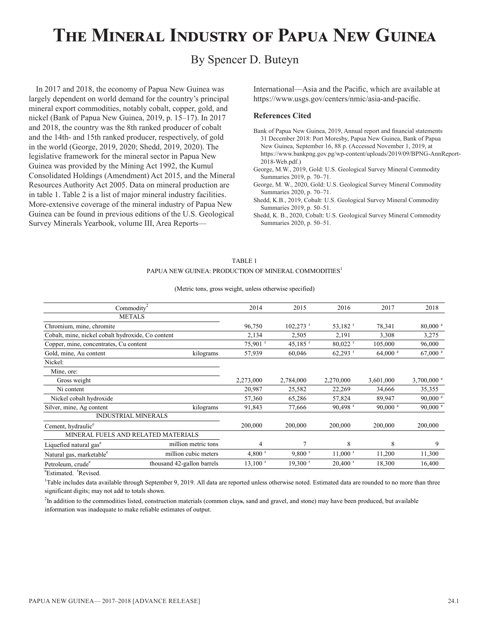## **The Mineral Industry of Papua New Guinea**

### By Spencer D. Buteyn

In 2017 and 2018, the economy of Papua New Guinea was largely dependent on world demand for the country's principal mineral export commodities, notably cobalt, copper, gold, and nickel (Bank of Papua New Guinea, 2019, p. 15–17). In 2017 and 2018, the country was the 8th ranked producer of cobalt and the 14th- and 15th ranked producer, respectively, of gold in the world (George, 2019, 2020; Shedd, 2019, 2020). The legislative framework for the mineral sector in Papua New Guinea was provided by the Mining Act 1992, the Kumul Consolidated Holdings (Amendment) Act 2015, and the Mineral Resources Authority Act 2005. Data on mineral production are in table 1. Table 2 is a list of major mineral industry facilities. More-extensive coverage of the mineral industry of Papua New Guinea can be found in previous editions of the U.S. Geological Survey Minerals Yearbook, volume III, Area ReportsInternational—Asia and the Pacific, which are available at https://www.usgs.gov/centers/nmic/asia-and-pacific.

#### **References Cited**

- Bank of Papua New Guinea, 2019, Annual report and financial statements 31 December 2018: Port Moresby, Papua New Guinea, Bank of Papua New Guinea, September 16, 88 p. (Accessed November 1, 2019, at https://www.bankpng.gov.pg/wp-content/uploads/2019/09/BPNG-AnnReport-2018-Web.pdf.)
- George, M.W., 2019, Gold: U.S. Geological Survey Mineral Commodity Summaries 2019, p. 70–71.
- George, M. W., 2020, Gold: U.S. Geological Survey Mineral Commodity Summaries 2020, p. 70–71.
- Shedd, K.B., 2019, Cobalt: U.S. Geological Survey Mineral Commodity Summaries 2019, p. 50–51.
- Shedd, K. B., 2020, Cobalt: U.S. Geological Survey Mineral Commodity Summaries 2020, p. 50–51.

#### TABLE 1 PAPUA NEW GUINEA: PRODUCTION OF MINERAL COMMODITIES<sup>1</sup>

#### (Metric tons, gross weight, unless otherwise specified)

| Commodity <sup>2</sup>                            |                                     | 2014                 | 2015                   | 2016                  | 2017              | 2018                |
|---------------------------------------------------|-------------------------------------|----------------------|------------------------|-----------------------|-------------------|---------------------|
|                                                   | <b>METALS</b>                       |                      |                        |                       |                   |                     |
| Chromium, mine, chromite                          |                                     | 96,750               | $102,273$ <sup>r</sup> | 53,182 $r$            | 78,341            | $80,000$ $\degree$  |
| Cobalt, mine, nickel cobalt hydroxide, Co content |                                     | 2,134                | 2,505                  | 2,191                 | 3,308             | 3,275               |
| Copper, mine, concentrates, Cu content            |                                     | 75,901 r             | 45,185 $r$             | $80,022$ <sup>r</sup> | 105,000           | 96,000              |
| Gold, mine, Au content                            | kilograms                           | 57,939               | 60,046                 | $62,293$ <sup>r</sup> | 64,000 °          | 67,000 °            |
| Nickel:                                           |                                     |                      |                        |                       |                   |                     |
| Mine, ore:                                        |                                     |                      |                        |                       |                   |                     |
| Gross weight                                      |                                     | 2,273,000            | 2,784,000              | 2,270,000             | 3,601,000         | 3,700,000 $\degree$ |
| Ni content                                        |                                     | 20,987               | 25,582                 | 22,269                | 34,666            | 35,355              |
| Nickel cobalt hydroxide                           |                                     | 57,360               | 65,286                 | 57,824                | 89,947            | 90,000 $^{\circ}$   |
| Silver, mine, Ag content                          | kilograms                           | 91,843               | 77,666                 | $90,498$ <sup>r</sup> | 90,000 $^{\circ}$ | 90,000 $^{\circ}$   |
|                                                   | <b>INDUSTRIAL MINERALS</b>          |                      |                        |                       |                   |                     |
| Cement, hydraulic <sup>e</sup>                    |                                     | 200,000              | 200,000                | 200,000               | 200,000           | 200,000             |
|                                                   | MINERAL FUELS AND RELATED MATERIALS |                      |                        |                       |                   |                     |
| Liquefied natural gas <sup>e</sup>                | million metric tons                 | 4                    | 7                      | 8                     | 8                 | 9                   |
| Natural gas, marketable <sup>e</sup>              | million cubic meters                | $4,800$ <sup>r</sup> | $9,800$ <sup>r</sup>   | $11,000$ <sup>r</sup> | 11,200            | 11,300              |
| Petroleum, crude <sup>e</sup>                     | thousand 42-gallon barrels          | $13,100$ $r$         | $19,300$ <sup>r</sup>  | $20,400$ <sup>r</sup> | 18,300            | 16,400              |
|                                                   |                                     |                      |                        |                       |                   |                     |

 $\mathrm{e}^{\mathrm{e}}$ Estimated.<sup>r</sup>

<sup>e</sup>Estimated. 'Revised.<br><sup>1</sup>Table includes data available through September 9, 2019. All data are reported unless otherwise noted. Estimated data are rounded to no more than three significant digits; may not add to totals shown.

<sup>2</sup>In addition to the commodities listed, construction materials (common clays, sand and gravel, and stone) may have been produced, but available information was inadequate to make reliable estimates of output.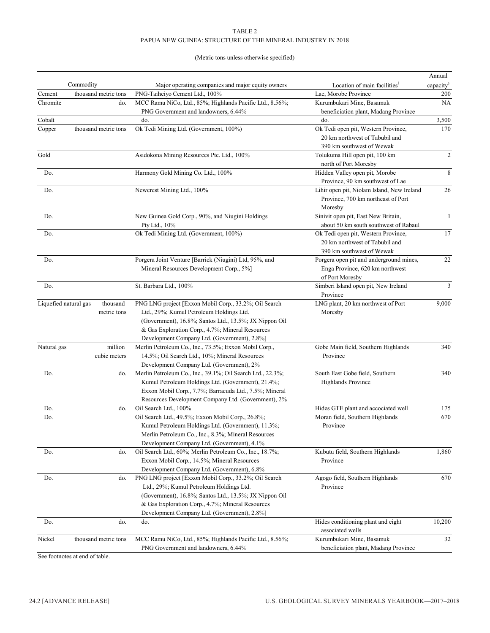#### TABLE 2 PAPUA NEW GUINEA: STRUCTURE OF THE MINERAL INDUSTRY IN 2018

#### (Metric tons unless otherwise specified)

| PNG-Taiheiyo Cement Ltd., 100%<br>Cement<br>thousand metric tons<br>Lae, Morobe Province<br>200<br>Chromite<br>MCC Ramu NiCo, Ltd., 85%; Highlands Pacific Ltd., 8.56%;<br>Kurumbukari Mine, Basamuk<br><b>NA</b><br>do.<br>PNG Government and landowners, 6.44%<br>beneficiation plant, Madang Province<br>Cobalt<br>3,500<br>do.<br>do.<br>Copper<br>thousand metric tons<br>Ok Tedi Mining Ltd. (Government, 100%)<br>Ok Tedi open pit, Western Province,<br>170<br>20 km northwest of Tabubil and<br>390 km southwest of Wewak<br>Gold<br>$\overline{2}$<br>Asidokona Mining Resources Pte. Ltd., 100%<br>Tolukuma Hill open pit, 100 km<br>north of Port Moresby<br>8<br>Do.<br>Harmony Gold Mining Co. Ltd., 100%<br>Hidden Valley open pit, Morobe<br>Province, 90 km southwest of Lae<br>Do.<br>Lihir open pit, Niolam Island, New Ireland<br>26<br>Newcrest Mining Ltd., 100%<br>Province, 700 km northeast of Port<br>Moresby<br>Do.<br>New Guinea Gold Corp., 90%, and Niugini Holdings<br>Sinivit open pit, East New Britain,<br>Pty Ltd., 10%<br>about 50 km south southwest of Rabaul<br>Ok Tedi Mining Ltd. (Government, 100%)<br>Ok Tedi open pit, Western Province,<br>Do.<br>20 km northwest of Tabubil and<br>390 km southwest of Wewak<br>Porgera Joint Venture [Barrick (Niugini) Ltd, 95%, and<br>Porgera open pit and underground mines,<br>Do.<br>Mineral Resources Development Corp., 5%]<br>Enga Province, 620 km northwest<br>of Port Moresby<br>Do.<br>Simberi Island open pit, New Ireland<br>St. Barbara Ltd., 100%<br>Province<br>PNG LNG project [Exxon Mobil Corp., 33.2%; Oil Search<br>LNG plant, 20 km northwest of Port<br>Liquefied natural gas<br>thousand<br>metric tons<br>Ltd., 29%; Kumul Petroleum Holdings Ltd.<br>Moresby<br>(Government), 16.8%; Santos Ltd., 13.5%; JX Nippon Oil<br>& Gas Exploration Corp., 4.7%; Mineral Resources<br>Development Company Ltd. (Government), 2.8%]<br>million<br>Merlin Petroleum Co., Inc., 73.5%; Exxon Mobil Corp.,<br>Gobe Main field, Southern Highlands<br>Natural gas<br>cubic meters<br>14.5%; Oil Search Ltd., 10%; Mineral Resources<br>Province<br>Development Company Ltd. (Government), 2%<br>Merlin Petroleum Co., Inc., 39.1%; Oil Search Ltd., 22.3%;<br>South East Gobe field, Southern<br>Do.<br>do.<br>Kumul Petroleum Holdings Ltd. (Government), 21.4%;<br>Highlands Province<br>Exxon Mobil Corp., 7.7%; Barracuda Ltd., 7.5%; Mineral<br>Resources Development Company Ltd. (Government), 2%<br>Hides GTE plant and accociated well<br>Do.<br>Oil Search Ltd., 100%<br>175<br>do.<br>Oil Search Ltd., 49.5%; Exxon Mobil Corp., 26.8%;<br>Moran field, Southern Highlands<br>Do.<br>Kumul Petroleum Holdings Ltd. (Government), 11.3%;<br>Province<br>Merlin Petroleum Co., Inc., 8.3%; Mineral Resources<br>Development Company Ltd. (Government), 4.1%<br>Kubutu field, Southern Highlands<br>Do.<br>Oil Search Ltd., 60%; Merlin Petroleum Co., Inc., 18.7%;<br>do.<br>Exxon Mobil Corp., 14.5%; Mineral Resources<br>Province<br>Development Company Ltd. (Government), 6.8%<br>Do.<br>PNG LNG project [Exxon Mobil Corp., 33.2%; Oil Search<br>Agogo field, Southern Highlands<br>do.<br>Ltd., 29%; Kumul Petroleum Holdings Ltd.<br>Province<br>(Government), 16.8%; Santos Ltd., 13.5%; JX Nippon Oil<br>& Gas Exploration Corp., 4.7%; Mineral Resources<br>Development Company Ltd. (Government), 2.8%]<br>Hides conditioning plant and eight<br>do.<br>Do.<br>do.<br>associated wells<br>Nickel<br>thousand metric tons<br>MCC Ramu NiCo, Ltd., 85%; Highlands Pacific Ltd., 8.56%;<br>Kurumbukari Mine, Basamuk<br>PNG Government and landowners, 6.44%<br>beneficiation plant, Madang Province |           |                                                   |                                          | Annual                |
|----------------------------------------------------------------------------------------------------------------------------------------------------------------------------------------------------------------------------------------------------------------------------------------------------------------------------------------------------------------------------------------------------------------------------------------------------------------------------------------------------------------------------------------------------------------------------------------------------------------------------------------------------------------------------------------------------------------------------------------------------------------------------------------------------------------------------------------------------------------------------------------------------------------------------------------------------------------------------------------------------------------------------------------------------------------------------------------------------------------------------------------------------------------------------------------------------------------------------------------------------------------------------------------------------------------------------------------------------------------------------------------------------------------------------------------------------------------------------------------------------------------------------------------------------------------------------------------------------------------------------------------------------------------------------------------------------------------------------------------------------------------------------------------------------------------------------------------------------------------------------------------------------------------------------------------------------------------------------------------------------------------------------------------------------------------------------------------------------------------------------------------------------------------------------------------------------------------------------------------------------------------------------------------------------------------------------------------------------------------------------------------------------------------------------------------------------------------------------------------------------------------------------------------------------------------------------------------------------------------------------------------------------------------------------------------------------------------------------------------------------------------------------------------------------------------------------------------------------------------------------------------------------------------------------------------------------------------------------------------------------------------------------------------------------------------------------------------------------------------------------------------------------------------------------------------------------------------------------------------------------------------------------------------------------------------------------------------------------------------------------------------------------------------------------------------------------------------------------------------------------------------------------------------------------------------------------------------------------------------------------------------------------------------------------------------------------------------------|-----------|---------------------------------------------------|------------------------------------------|-----------------------|
|                                                                                                                                                                                                                                                                                                                                                                                                                                                                                                                                                                                                                                                                                                                                                                                                                                                                                                                                                                                                                                                                                                                                                                                                                                                                                                                                                                                                                                                                                                                                                                                                                                                                                                                                                                                                                                                                                                                                                                                                                                                                                                                                                                                                                                                                                                                                                                                                                                                                                                                                                                                                                                                                                                                                                                                                                                                                                                                                                                                                                                                                                                                                                                                                                                                                                                                                                                                                                                                                                                                                                                                                                                                                                                                      | Commodity | Major operating companies and major equity owners | Location of main facilities <sup>1</sup> | capacity <sup>e</sup> |
|                                                                                                                                                                                                                                                                                                                                                                                                                                                                                                                                                                                                                                                                                                                                                                                                                                                                                                                                                                                                                                                                                                                                                                                                                                                                                                                                                                                                                                                                                                                                                                                                                                                                                                                                                                                                                                                                                                                                                                                                                                                                                                                                                                                                                                                                                                                                                                                                                                                                                                                                                                                                                                                                                                                                                                                                                                                                                                                                                                                                                                                                                                                                                                                                                                                                                                                                                                                                                                                                                                                                                                                                                                                                                                                      |           |                                                   |                                          |                       |
|                                                                                                                                                                                                                                                                                                                                                                                                                                                                                                                                                                                                                                                                                                                                                                                                                                                                                                                                                                                                                                                                                                                                                                                                                                                                                                                                                                                                                                                                                                                                                                                                                                                                                                                                                                                                                                                                                                                                                                                                                                                                                                                                                                                                                                                                                                                                                                                                                                                                                                                                                                                                                                                                                                                                                                                                                                                                                                                                                                                                                                                                                                                                                                                                                                                                                                                                                                                                                                                                                                                                                                                                                                                                                                                      |           |                                                   |                                          |                       |
|                                                                                                                                                                                                                                                                                                                                                                                                                                                                                                                                                                                                                                                                                                                                                                                                                                                                                                                                                                                                                                                                                                                                                                                                                                                                                                                                                                                                                                                                                                                                                                                                                                                                                                                                                                                                                                                                                                                                                                                                                                                                                                                                                                                                                                                                                                                                                                                                                                                                                                                                                                                                                                                                                                                                                                                                                                                                                                                                                                                                                                                                                                                                                                                                                                                                                                                                                                                                                                                                                                                                                                                                                                                                                                                      |           |                                                   |                                          |                       |
|                                                                                                                                                                                                                                                                                                                                                                                                                                                                                                                                                                                                                                                                                                                                                                                                                                                                                                                                                                                                                                                                                                                                                                                                                                                                                                                                                                                                                                                                                                                                                                                                                                                                                                                                                                                                                                                                                                                                                                                                                                                                                                                                                                                                                                                                                                                                                                                                                                                                                                                                                                                                                                                                                                                                                                                                                                                                                                                                                                                                                                                                                                                                                                                                                                                                                                                                                                                                                                                                                                                                                                                                                                                                                                                      |           |                                                   |                                          |                       |
|                                                                                                                                                                                                                                                                                                                                                                                                                                                                                                                                                                                                                                                                                                                                                                                                                                                                                                                                                                                                                                                                                                                                                                                                                                                                                                                                                                                                                                                                                                                                                                                                                                                                                                                                                                                                                                                                                                                                                                                                                                                                                                                                                                                                                                                                                                                                                                                                                                                                                                                                                                                                                                                                                                                                                                                                                                                                                                                                                                                                                                                                                                                                                                                                                                                                                                                                                                                                                                                                                                                                                                                                                                                                                                                      |           |                                                   |                                          |                       |
|                                                                                                                                                                                                                                                                                                                                                                                                                                                                                                                                                                                                                                                                                                                                                                                                                                                                                                                                                                                                                                                                                                                                                                                                                                                                                                                                                                                                                                                                                                                                                                                                                                                                                                                                                                                                                                                                                                                                                                                                                                                                                                                                                                                                                                                                                                                                                                                                                                                                                                                                                                                                                                                                                                                                                                                                                                                                                                                                                                                                                                                                                                                                                                                                                                                                                                                                                                                                                                                                                                                                                                                                                                                                                                                      |           |                                                   |                                          |                       |
|                                                                                                                                                                                                                                                                                                                                                                                                                                                                                                                                                                                                                                                                                                                                                                                                                                                                                                                                                                                                                                                                                                                                                                                                                                                                                                                                                                                                                                                                                                                                                                                                                                                                                                                                                                                                                                                                                                                                                                                                                                                                                                                                                                                                                                                                                                                                                                                                                                                                                                                                                                                                                                                                                                                                                                                                                                                                                                                                                                                                                                                                                                                                                                                                                                                                                                                                                                                                                                                                                                                                                                                                                                                                                                                      |           |                                                   |                                          |                       |
|                                                                                                                                                                                                                                                                                                                                                                                                                                                                                                                                                                                                                                                                                                                                                                                                                                                                                                                                                                                                                                                                                                                                                                                                                                                                                                                                                                                                                                                                                                                                                                                                                                                                                                                                                                                                                                                                                                                                                                                                                                                                                                                                                                                                                                                                                                                                                                                                                                                                                                                                                                                                                                                                                                                                                                                                                                                                                                                                                                                                                                                                                                                                                                                                                                                                                                                                                                                                                                                                                                                                                                                                                                                                                                                      |           |                                                   |                                          |                       |
|                                                                                                                                                                                                                                                                                                                                                                                                                                                                                                                                                                                                                                                                                                                                                                                                                                                                                                                                                                                                                                                                                                                                                                                                                                                                                                                                                                                                                                                                                                                                                                                                                                                                                                                                                                                                                                                                                                                                                                                                                                                                                                                                                                                                                                                                                                                                                                                                                                                                                                                                                                                                                                                                                                                                                                                                                                                                                                                                                                                                                                                                                                                                                                                                                                                                                                                                                                                                                                                                                                                                                                                                                                                                                                                      |           |                                                   |                                          |                       |
|                                                                                                                                                                                                                                                                                                                                                                                                                                                                                                                                                                                                                                                                                                                                                                                                                                                                                                                                                                                                                                                                                                                                                                                                                                                                                                                                                                                                                                                                                                                                                                                                                                                                                                                                                                                                                                                                                                                                                                                                                                                                                                                                                                                                                                                                                                                                                                                                                                                                                                                                                                                                                                                                                                                                                                                                                                                                                                                                                                                                                                                                                                                                                                                                                                                                                                                                                                                                                                                                                                                                                                                                                                                                                                                      |           |                                                   |                                          |                       |
|                                                                                                                                                                                                                                                                                                                                                                                                                                                                                                                                                                                                                                                                                                                                                                                                                                                                                                                                                                                                                                                                                                                                                                                                                                                                                                                                                                                                                                                                                                                                                                                                                                                                                                                                                                                                                                                                                                                                                                                                                                                                                                                                                                                                                                                                                                                                                                                                                                                                                                                                                                                                                                                                                                                                                                                                                                                                                                                                                                                                                                                                                                                                                                                                                                                                                                                                                                                                                                                                                                                                                                                                                                                                                                                      |           |                                                   |                                          |                       |
| $\mathbf{1}$<br>17<br>22<br>$\overline{3}$<br>9,000<br>340<br>340<br>670<br>1,860<br>670<br>10,200<br>32                                                                                                                                                                                                                                                                                                                                                                                                                                                                                                                                                                                                                                                                                                                                                                                                                                                                                                                                                                                                                                                                                                                                                                                                                                                                                                                                                                                                                                                                                                                                                                                                                                                                                                                                                                                                                                                                                                                                                                                                                                                                                                                                                                                                                                                                                                                                                                                                                                                                                                                                                                                                                                                                                                                                                                                                                                                                                                                                                                                                                                                                                                                                                                                                                                                                                                                                                                                                                                                                                                                                                                                                             |           |                                                   |                                          |                       |
|                                                                                                                                                                                                                                                                                                                                                                                                                                                                                                                                                                                                                                                                                                                                                                                                                                                                                                                                                                                                                                                                                                                                                                                                                                                                                                                                                                                                                                                                                                                                                                                                                                                                                                                                                                                                                                                                                                                                                                                                                                                                                                                                                                                                                                                                                                                                                                                                                                                                                                                                                                                                                                                                                                                                                                                                                                                                                                                                                                                                                                                                                                                                                                                                                                                                                                                                                                                                                                                                                                                                                                                                                                                                                                                      |           |                                                   |                                          |                       |
|                                                                                                                                                                                                                                                                                                                                                                                                                                                                                                                                                                                                                                                                                                                                                                                                                                                                                                                                                                                                                                                                                                                                                                                                                                                                                                                                                                                                                                                                                                                                                                                                                                                                                                                                                                                                                                                                                                                                                                                                                                                                                                                                                                                                                                                                                                                                                                                                                                                                                                                                                                                                                                                                                                                                                                                                                                                                                                                                                                                                                                                                                                                                                                                                                                                                                                                                                                                                                                                                                                                                                                                                                                                                                                                      |           |                                                   |                                          |                       |
|                                                                                                                                                                                                                                                                                                                                                                                                                                                                                                                                                                                                                                                                                                                                                                                                                                                                                                                                                                                                                                                                                                                                                                                                                                                                                                                                                                                                                                                                                                                                                                                                                                                                                                                                                                                                                                                                                                                                                                                                                                                                                                                                                                                                                                                                                                                                                                                                                                                                                                                                                                                                                                                                                                                                                                                                                                                                                                                                                                                                                                                                                                                                                                                                                                                                                                                                                                                                                                                                                                                                                                                                                                                                                                                      |           |                                                   |                                          |                       |
|                                                                                                                                                                                                                                                                                                                                                                                                                                                                                                                                                                                                                                                                                                                                                                                                                                                                                                                                                                                                                                                                                                                                                                                                                                                                                                                                                                                                                                                                                                                                                                                                                                                                                                                                                                                                                                                                                                                                                                                                                                                                                                                                                                                                                                                                                                                                                                                                                                                                                                                                                                                                                                                                                                                                                                                                                                                                                                                                                                                                                                                                                                                                                                                                                                                                                                                                                                                                                                                                                                                                                                                                                                                                                                                      |           |                                                   |                                          |                       |
|                                                                                                                                                                                                                                                                                                                                                                                                                                                                                                                                                                                                                                                                                                                                                                                                                                                                                                                                                                                                                                                                                                                                                                                                                                                                                                                                                                                                                                                                                                                                                                                                                                                                                                                                                                                                                                                                                                                                                                                                                                                                                                                                                                                                                                                                                                                                                                                                                                                                                                                                                                                                                                                                                                                                                                                                                                                                                                                                                                                                                                                                                                                                                                                                                                                                                                                                                                                                                                                                                                                                                                                                                                                                                                                      |           |                                                   |                                          |                       |
|                                                                                                                                                                                                                                                                                                                                                                                                                                                                                                                                                                                                                                                                                                                                                                                                                                                                                                                                                                                                                                                                                                                                                                                                                                                                                                                                                                                                                                                                                                                                                                                                                                                                                                                                                                                                                                                                                                                                                                                                                                                                                                                                                                                                                                                                                                                                                                                                                                                                                                                                                                                                                                                                                                                                                                                                                                                                                                                                                                                                                                                                                                                                                                                                                                                                                                                                                                                                                                                                                                                                                                                                                                                                                                                      |           |                                                   |                                          |                       |
|                                                                                                                                                                                                                                                                                                                                                                                                                                                                                                                                                                                                                                                                                                                                                                                                                                                                                                                                                                                                                                                                                                                                                                                                                                                                                                                                                                                                                                                                                                                                                                                                                                                                                                                                                                                                                                                                                                                                                                                                                                                                                                                                                                                                                                                                                                                                                                                                                                                                                                                                                                                                                                                                                                                                                                                                                                                                                                                                                                                                                                                                                                                                                                                                                                                                                                                                                                                                                                                                                                                                                                                                                                                                                                                      |           |                                                   |                                          |                       |
|                                                                                                                                                                                                                                                                                                                                                                                                                                                                                                                                                                                                                                                                                                                                                                                                                                                                                                                                                                                                                                                                                                                                                                                                                                                                                                                                                                                                                                                                                                                                                                                                                                                                                                                                                                                                                                                                                                                                                                                                                                                                                                                                                                                                                                                                                                                                                                                                                                                                                                                                                                                                                                                                                                                                                                                                                                                                                                                                                                                                                                                                                                                                                                                                                                                                                                                                                                                                                                                                                                                                                                                                                                                                                                                      |           |                                                   |                                          |                       |
|                                                                                                                                                                                                                                                                                                                                                                                                                                                                                                                                                                                                                                                                                                                                                                                                                                                                                                                                                                                                                                                                                                                                                                                                                                                                                                                                                                                                                                                                                                                                                                                                                                                                                                                                                                                                                                                                                                                                                                                                                                                                                                                                                                                                                                                                                                                                                                                                                                                                                                                                                                                                                                                                                                                                                                                                                                                                                                                                                                                                                                                                                                                                                                                                                                                                                                                                                                                                                                                                                                                                                                                                                                                                                                                      |           |                                                   |                                          |                       |
|                                                                                                                                                                                                                                                                                                                                                                                                                                                                                                                                                                                                                                                                                                                                                                                                                                                                                                                                                                                                                                                                                                                                                                                                                                                                                                                                                                                                                                                                                                                                                                                                                                                                                                                                                                                                                                                                                                                                                                                                                                                                                                                                                                                                                                                                                                                                                                                                                                                                                                                                                                                                                                                                                                                                                                                                                                                                                                                                                                                                                                                                                                                                                                                                                                                                                                                                                                                                                                                                                                                                                                                                                                                                                                                      |           |                                                   |                                          |                       |
|                                                                                                                                                                                                                                                                                                                                                                                                                                                                                                                                                                                                                                                                                                                                                                                                                                                                                                                                                                                                                                                                                                                                                                                                                                                                                                                                                                                                                                                                                                                                                                                                                                                                                                                                                                                                                                                                                                                                                                                                                                                                                                                                                                                                                                                                                                                                                                                                                                                                                                                                                                                                                                                                                                                                                                                                                                                                                                                                                                                                                                                                                                                                                                                                                                                                                                                                                                                                                                                                                                                                                                                                                                                                                                                      |           |                                                   |                                          |                       |
|                                                                                                                                                                                                                                                                                                                                                                                                                                                                                                                                                                                                                                                                                                                                                                                                                                                                                                                                                                                                                                                                                                                                                                                                                                                                                                                                                                                                                                                                                                                                                                                                                                                                                                                                                                                                                                                                                                                                                                                                                                                                                                                                                                                                                                                                                                                                                                                                                                                                                                                                                                                                                                                                                                                                                                                                                                                                                                                                                                                                                                                                                                                                                                                                                                                                                                                                                                                                                                                                                                                                                                                                                                                                                                                      |           |                                                   |                                          |                       |
|                                                                                                                                                                                                                                                                                                                                                                                                                                                                                                                                                                                                                                                                                                                                                                                                                                                                                                                                                                                                                                                                                                                                                                                                                                                                                                                                                                                                                                                                                                                                                                                                                                                                                                                                                                                                                                                                                                                                                                                                                                                                                                                                                                                                                                                                                                                                                                                                                                                                                                                                                                                                                                                                                                                                                                                                                                                                                                                                                                                                                                                                                                                                                                                                                                                                                                                                                                                                                                                                                                                                                                                                                                                                                                                      |           |                                                   |                                          |                       |
|                                                                                                                                                                                                                                                                                                                                                                                                                                                                                                                                                                                                                                                                                                                                                                                                                                                                                                                                                                                                                                                                                                                                                                                                                                                                                                                                                                                                                                                                                                                                                                                                                                                                                                                                                                                                                                                                                                                                                                                                                                                                                                                                                                                                                                                                                                                                                                                                                                                                                                                                                                                                                                                                                                                                                                                                                                                                                                                                                                                                                                                                                                                                                                                                                                                                                                                                                                                                                                                                                                                                                                                                                                                                                                                      |           |                                                   |                                          |                       |
|                                                                                                                                                                                                                                                                                                                                                                                                                                                                                                                                                                                                                                                                                                                                                                                                                                                                                                                                                                                                                                                                                                                                                                                                                                                                                                                                                                                                                                                                                                                                                                                                                                                                                                                                                                                                                                                                                                                                                                                                                                                                                                                                                                                                                                                                                                                                                                                                                                                                                                                                                                                                                                                                                                                                                                                                                                                                                                                                                                                                                                                                                                                                                                                                                                                                                                                                                                                                                                                                                                                                                                                                                                                                                                                      |           |                                                   |                                          |                       |
|                                                                                                                                                                                                                                                                                                                                                                                                                                                                                                                                                                                                                                                                                                                                                                                                                                                                                                                                                                                                                                                                                                                                                                                                                                                                                                                                                                                                                                                                                                                                                                                                                                                                                                                                                                                                                                                                                                                                                                                                                                                                                                                                                                                                                                                                                                                                                                                                                                                                                                                                                                                                                                                                                                                                                                                                                                                                                                                                                                                                                                                                                                                                                                                                                                                                                                                                                                                                                                                                                                                                                                                                                                                                                                                      |           |                                                   |                                          |                       |
|                                                                                                                                                                                                                                                                                                                                                                                                                                                                                                                                                                                                                                                                                                                                                                                                                                                                                                                                                                                                                                                                                                                                                                                                                                                                                                                                                                                                                                                                                                                                                                                                                                                                                                                                                                                                                                                                                                                                                                                                                                                                                                                                                                                                                                                                                                                                                                                                                                                                                                                                                                                                                                                                                                                                                                                                                                                                                                                                                                                                                                                                                                                                                                                                                                                                                                                                                                                                                                                                                                                                                                                                                                                                                                                      |           |                                                   |                                          |                       |
|                                                                                                                                                                                                                                                                                                                                                                                                                                                                                                                                                                                                                                                                                                                                                                                                                                                                                                                                                                                                                                                                                                                                                                                                                                                                                                                                                                                                                                                                                                                                                                                                                                                                                                                                                                                                                                                                                                                                                                                                                                                                                                                                                                                                                                                                                                                                                                                                                                                                                                                                                                                                                                                                                                                                                                                                                                                                                                                                                                                                                                                                                                                                                                                                                                                                                                                                                                                                                                                                                                                                                                                                                                                                                                                      |           |                                                   |                                          |                       |
|                                                                                                                                                                                                                                                                                                                                                                                                                                                                                                                                                                                                                                                                                                                                                                                                                                                                                                                                                                                                                                                                                                                                                                                                                                                                                                                                                                                                                                                                                                                                                                                                                                                                                                                                                                                                                                                                                                                                                                                                                                                                                                                                                                                                                                                                                                                                                                                                                                                                                                                                                                                                                                                                                                                                                                                                                                                                                                                                                                                                                                                                                                                                                                                                                                                                                                                                                                                                                                                                                                                                                                                                                                                                                                                      |           |                                                   |                                          |                       |
|                                                                                                                                                                                                                                                                                                                                                                                                                                                                                                                                                                                                                                                                                                                                                                                                                                                                                                                                                                                                                                                                                                                                                                                                                                                                                                                                                                                                                                                                                                                                                                                                                                                                                                                                                                                                                                                                                                                                                                                                                                                                                                                                                                                                                                                                                                                                                                                                                                                                                                                                                                                                                                                                                                                                                                                                                                                                                                                                                                                                                                                                                                                                                                                                                                                                                                                                                                                                                                                                                                                                                                                                                                                                                                                      |           |                                                   |                                          |                       |
|                                                                                                                                                                                                                                                                                                                                                                                                                                                                                                                                                                                                                                                                                                                                                                                                                                                                                                                                                                                                                                                                                                                                                                                                                                                                                                                                                                                                                                                                                                                                                                                                                                                                                                                                                                                                                                                                                                                                                                                                                                                                                                                                                                                                                                                                                                                                                                                                                                                                                                                                                                                                                                                                                                                                                                                                                                                                                                                                                                                                                                                                                                                                                                                                                                                                                                                                                                                                                                                                                                                                                                                                                                                                                                                      |           |                                                   |                                          |                       |
|                                                                                                                                                                                                                                                                                                                                                                                                                                                                                                                                                                                                                                                                                                                                                                                                                                                                                                                                                                                                                                                                                                                                                                                                                                                                                                                                                                                                                                                                                                                                                                                                                                                                                                                                                                                                                                                                                                                                                                                                                                                                                                                                                                                                                                                                                                                                                                                                                                                                                                                                                                                                                                                                                                                                                                                                                                                                                                                                                                                                                                                                                                                                                                                                                                                                                                                                                                                                                                                                                                                                                                                                                                                                                                                      |           |                                                   |                                          |                       |
|                                                                                                                                                                                                                                                                                                                                                                                                                                                                                                                                                                                                                                                                                                                                                                                                                                                                                                                                                                                                                                                                                                                                                                                                                                                                                                                                                                                                                                                                                                                                                                                                                                                                                                                                                                                                                                                                                                                                                                                                                                                                                                                                                                                                                                                                                                                                                                                                                                                                                                                                                                                                                                                                                                                                                                                                                                                                                                                                                                                                                                                                                                                                                                                                                                                                                                                                                                                                                                                                                                                                                                                                                                                                                                                      |           |                                                   |                                          |                       |
|                                                                                                                                                                                                                                                                                                                                                                                                                                                                                                                                                                                                                                                                                                                                                                                                                                                                                                                                                                                                                                                                                                                                                                                                                                                                                                                                                                                                                                                                                                                                                                                                                                                                                                                                                                                                                                                                                                                                                                                                                                                                                                                                                                                                                                                                                                                                                                                                                                                                                                                                                                                                                                                                                                                                                                                                                                                                                                                                                                                                                                                                                                                                                                                                                                                                                                                                                                                                                                                                                                                                                                                                                                                                                                                      |           |                                                   |                                          |                       |
|                                                                                                                                                                                                                                                                                                                                                                                                                                                                                                                                                                                                                                                                                                                                                                                                                                                                                                                                                                                                                                                                                                                                                                                                                                                                                                                                                                                                                                                                                                                                                                                                                                                                                                                                                                                                                                                                                                                                                                                                                                                                                                                                                                                                                                                                                                                                                                                                                                                                                                                                                                                                                                                                                                                                                                                                                                                                                                                                                                                                                                                                                                                                                                                                                                                                                                                                                                                                                                                                                                                                                                                                                                                                                                                      |           |                                                   |                                          |                       |
|                                                                                                                                                                                                                                                                                                                                                                                                                                                                                                                                                                                                                                                                                                                                                                                                                                                                                                                                                                                                                                                                                                                                                                                                                                                                                                                                                                                                                                                                                                                                                                                                                                                                                                                                                                                                                                                                                                                                                                                                                                                                                                                                                                                                                                                                                                                                                                                                                                                                                                                                                                                                                                                                                                                                                                                                                                                                                                                                                                                                                                                                                                                                                                                                                                                                                                                                                                                                                                                                                                                                                                                                                                                                                                                      |           |                                                   |                                          |                       |
|                                                                                                                                                                                                                                                                                                                                                                                                                                                                                                                                                                                                                                                                                                                                                                                                                                                                                                                                                                                                                                                                                                                                                                                                                                                                                                                                                                                                                                                                                                                                                                                                                                                                                                                                                                                                                                                                                                                                                                                                                                                                                                                                                                                                                                                                                                                                                                                                                                                                                                                                                                                                                                                                                                                                                                                                                                                                                                                                                                                                                                                                                                                                                                                                                                                                                                                                                                                                                                                                                                                                                                                                                                                                                                                      |           |                                                   |                                          |                       |
|                                                                                                                                                                                                                                                                                                                                                                                                                                                                                                                                                                                                                                                                                                                                                                                                                                                                                                                                                                                                                                                                                                                                                                                                                                                                                                                                                                                                                                                                                                                                                                                                                                                                                                                                                                                                                                                                                                                                                                                                                                                                                                                                                                                                                                                                                                                                                                                                                                                                                                                                                                                                                                                                                                                                                                                                                                                                                                                                                                                                                                                                                                                                                                                                                                                                                                                                                                                                                                                                                                                                                                                                                                                                                                                      |           |                                                   |                                          |                       |
|                                                                                                                                                                                                                                                                                                                                                                                                                                                                                                                                                                                                                                                                                                                                                                                                                                                                                                                                                                                                                                                                                                                                                                                                                                                                                                                                                                                                                                                                                                                                                                                                                                                                                                                                                                                                                                                                                                                                                                                                                                                                                                                                                                                                                                                                                                                                                                                                                                                                                                                                                                                                                                                                                                                                                                                                                                                                                                                                                                                                                                                                                                                                                                                                                                                                                                                                                                                                                                                                                                                                                                                                                                                                                                                      |           |                                                   |                                          |                       |
|                                                                                                                                                                                                                                                                                                                                                                                                                                                                                                                                                                                                                                                                                                                                                                                                                                                                                                                                                                                                                                                                                                                                                                                                                                                                                                                                                                                                                                                                                                                                                                                                                                                                                                                                                                                                                                                                                                                                                                                                                                                                                                                                                                                                                                                                                                                                                                                                                                                                                                                                                                                                                                                                                                                                                                                                                                                                                                                                                                                                                                                                                                                                                                                                                                                                                                                                                                                                                                                                                                                                                                                                                                                                                                                      |           |                                                   |                                          |                       |
|                                                                                                                                                                                                                                                                                                                                                                                                                                                                                                                                                                                                                                                                                                                                                                                                                                                                                                                                                                                                                                                                                                                                                                                                                                                                                                                                                                                                                                                                                                                                                                                                                                                                                                                                                                                                                                                                                                                                                                                                                                                                                                                                                                                                                                                                                                                                                                                                                                                                                                                                                                                                                                                                                                                                                                                                                                                                                                                                                                                                                                                                                                                                                                                                                                                                                                                                                                                                                                                                                                                                                                                                                                                                                                                      |           |                                                   |                                          |                       |
|                                                                                                                                                                                                                                                                                                                                                                                                                                                                                                                                                                                                                                                                                                                                                                                                                                                                                                                                                                                                                                                                                                                                                                                                                                                                                                                                                                                                                                                                                                                                                                                                                                                                                                                                                                                                                                                                                                                                                                                                                                                                                                                                                                                                                                                                                                                                                                                                                                                                                                                                                                                                                                                                                                                                                                                                                                                                                                                                                                                                                                                                                                                                                                                                                                                                                                                                                                                                                                                                                                                                                                                                                                                                                                                      |           |                                                   |                                          |                       |
|                                                                                                                                                                                                                                                                                                                                                                                                                                                                                                                                                                                                                                                                                                                                                                                                                                                                                                                                                                                                                                                                                                                                                                                                                                                                                                                                                                                                                                                                                                                                                                                                                                                                                                                                                                                                                                                                                                                                                                                                                                                                                                                                                                                                                                                                                                                                                                                                                                                                                                                                                                                                                                                                                                                                                                                                                                                                                                                                                                                                                                                                                                                                                                                                                                                                                                                                                                                                                                                                                                                                                                                                                                                                                                                      |           |                                                   |                                          |                       |
|                                                                                                                                                                                                                                                                                                                                                                                                                                                                                                                                                                                                                                                                                                                                                                                                                                                                                                                                                                                                                                                                                                                                                                                                                                                                                                                                                                                                                                                                                                                                                                                                                                                                                                                                                                                                                                                                                                                                                                                                                                                                                                                                                                                                                                                                                                                                                                                                                                                                                                                                                                                                                                                                                                                                                                                                                                                                                                                                                                                                                                                                                                                                                                                                                                                                                                                                                                                                                                                                                                                                                                                                                                                                                                                      |           |                                                   |                                          |                       |
|                                                                                                                                                                                                                                                                                                                                                                                                                                                                                                                                                                                                                                                                                                                                                                                                                                                                                                                                                                                                                                                                                                                                                                                                                                                                                                                                                                                                                                                                                                                                                                                                                                                                                                                                                                                                                                                                                                                                                                                                                                                                                                                                                                                                                                                                                                                                                                                                                                                                                                                                                                                                                                                                                                                                                                                                                                                                                                                                                                                                                                                                                                                                                                                                                                                                                                                                                                                                                                                                                                                                                                                                                                                                                                                      |           |                                                   |                                          |                       |
|                                                                                                                                                                                                                                                                                                                                                                                                                                                                                                                                                                                                                                                                                                                                                                                                                                                                                                                                                                                                                                                                                                                                                                                                                                                                                                                                                                                                                                                                                                                                                                                                                                                                                                                                                                                                                                                                                                                                                                                                                                                                                                                                                                                                                                                                                                                                                                                                                                                                                                                                                                                                                                                                                                                                                                                                                                                                                                                                                                                                                                                                                                                                                                                                                                                                                                                                                                                                                                                                                                                                                                                                                                                                                                                      |           |                                                   |                                          |                       |
|                                                                                                                                                                                                                                                                                                                                                                                                                                                                                                                                                                                                                                                                                                                                                                                                                                                                                                                                                                                                                                                                                                                                                                                                                                                                                                                                                                                                                                                                                                                                                                                                                                                                                                                                                                                                                                                                                                                                                                                                                                                                                                                                                                                                                                                                                                                                                                                                                                                                                                                                                                                                                                                                                                                                                                                                                                                                                                                                                                                                                                                                                                                                                                                                                                                                                                                                                                                                                                                                                                                                                                                                                                                                                                                      |           |                                                   |                                          |                       |
|                                                                                                                                                                                                                                                                                                                                                                                                                                                                                                                                                                                                                                                                                                                                                                                                                                                                                                                                                                                                                                                                                                                                                                                                                                                                                                                                                                                                                                                                                                                                                                                                                                                                                                                                                                                                                                                                                                                                                                                                                                                                                                                                                                                                                                                                                                                                                                                                                                                                                                                                                                                                                                                                                                                                                                                                                                                                                                                                                                                                                                                                                                                                                                                                                                                                                                                                                                                                                                                                                                                                                                                                                                                                                                                      |           |                                                   |                                          |                       |
|                                                                                                                                                                                                                                                                                                                                                                                                                                                                                                                                                                                                                                                                                                                                                                                                                                                                                                                                                                                                                                                                                                                                                                                                                                                                                                                                                                                                                                                                                                                                                                                                                                                                                                                                                                                                                                                                                                                                                                                                                                                                                                                                                                                                                                                                                                                                                                                                                                                                                                                                                                                                                                                                                                                                                                                                                                                                                                                                                                                                                                                                                                                                                                                                                                                                                                                                                                                                                                                                                                                                                                                                                                                                                                                      |           |                                                   |                                          |                       |

See footnotes at end of table.